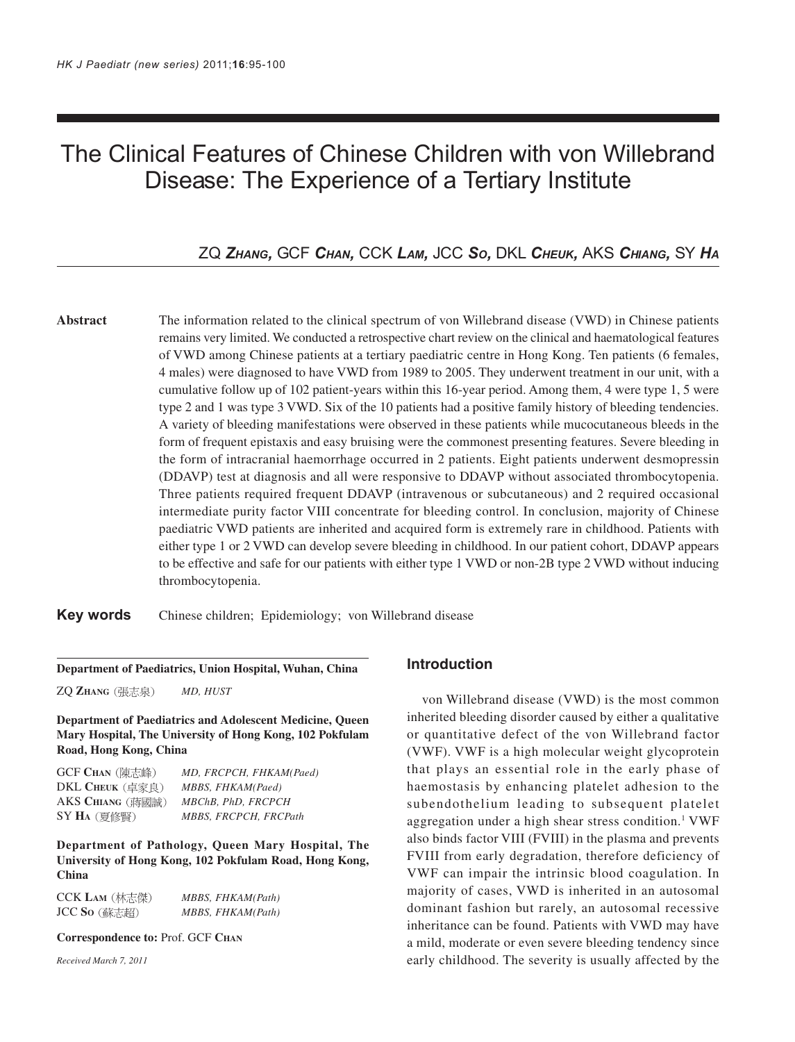# The Clinical Features of Chinese Children with von Willebrand Disease: The Experience of a Tertiary Institute

# ZQ *ZHANG,* GCF *CHAN,* CCK *LAM,* JCC *SO,* DKL *CHEUK,* AKS *CHIANG,* SY *HA*

**Abstract** The information related to the clinical spectrum of von Willebrand disease (VWD) in Chinese patients remains very limited. We conducted a retrospective chart review on the clinical and haematological features of VWD among Chinese patients at a tertiary paediatric centre in Hong Kong. Ten patients (6 females, 4 males) were diagnosed to have VWD from 1989 to 2005. They underwent treatment in our unit, with a cumulative follow up of 102 patient-years within this 16-year period. Among them, 4 were type 1, 5 were type 2 and 1 was type 3 VWD. Six of the 10 patients had a positive family history of bleeding tendencies. A variety of bleeding manifestations were observed in these patients while mucocutaneous bleeds in the form of frequent epistaxis and easy bruising were the commonest presenting features. Severe bleeding in the form of intracranial haemorrhage occurred in 2 patients. Eight patients underwent desmopressin (DDAVP) test at diagnosis and all were responsive to DDAVP without associated thrombocytopenia. Three patients required frequent DDAVP (intravenous or subcutaneous) and 2 required occasional intermediate purity factor VIII concentrate for bleeding control. In conclusion, majority of Chinese paediatric VWD patients are inherited and acquired form is extremely rare in childhood. Patients with either type 1 or 2 VWD can develop severe bleeding in childhood. In our patient cohort, DDAVP appears to be effective and safe for our patients with either type 1 VWD or non-2B type 2 VWD without inducing thrombocytopenia.

**Key words** Chinese children; Epidemiology; von Willebrand disease

#### **Department of Paediatrics, Union Hospital, Wuhan, China**

ZQ **ZHANG** *MD, HUST*

**Department of Paediatrics and Adolescent Medicine, Queen Mary Hospital, The University of Hong Kong, 102 Pokfulam Road, Hong Kong, China**

| <b>GCF CHAN</b> (陳志峰)  | MD, FRCPCH, FHKAM(Paed) |
|------------------------|-------------------------|
| <b>DKL CHEUK</b> (卓家良) | MBBS, FHKAM(Paed)       |
| AKS CHIANG (蔣國誠)       | MBChB, PhD, FRCPCH      |
| $SYH_A$ (夏修賢)          | MBBS, FRCPCH, FRCPath   |

**Department of Pathology, Queen Mary Hospital, The University of Hong Kong, 102 Pokfulam Road, Hong Kong, China**

| CCK Lam (林志傑)       | MBBS, FHKAM(Path) |
|---------------------|-------------------|
| JCC <b>So</b> (蘇志超) | MBBS, FHKAM(Path) |

#### **Correspondence to:** Prof. GCF **CHAN**

*Received March 7, 2011*

## **Introduction**

von Willebrand disease (VWD) is the most common inherited bleeding disorder caused by either a qualitative or quantitative defect of the von Willebrand factor (VWF). VWF is a high molecular weight glycoprotein that plays an essential role in the early phase of haemostasis by enhancing platelet adhesion to the subendothelium leading to subsequent platelet aggregation under a high shear stress condition.<sup>1</sup> VWF also binds factor VIII (FVIII) in the plasma and prevents FVIII from early degradation, therefore deficiency of VWF can impair the intrinsic blood coagulation. In majority of cases, VWD is inherited in an autosomal dominant fashion but rarely, an autosomal recessive inheritance can be found. Patients with VWD may have a mild, moderate or even severe bleeding tendency since early childhood. The severity is usually affected by the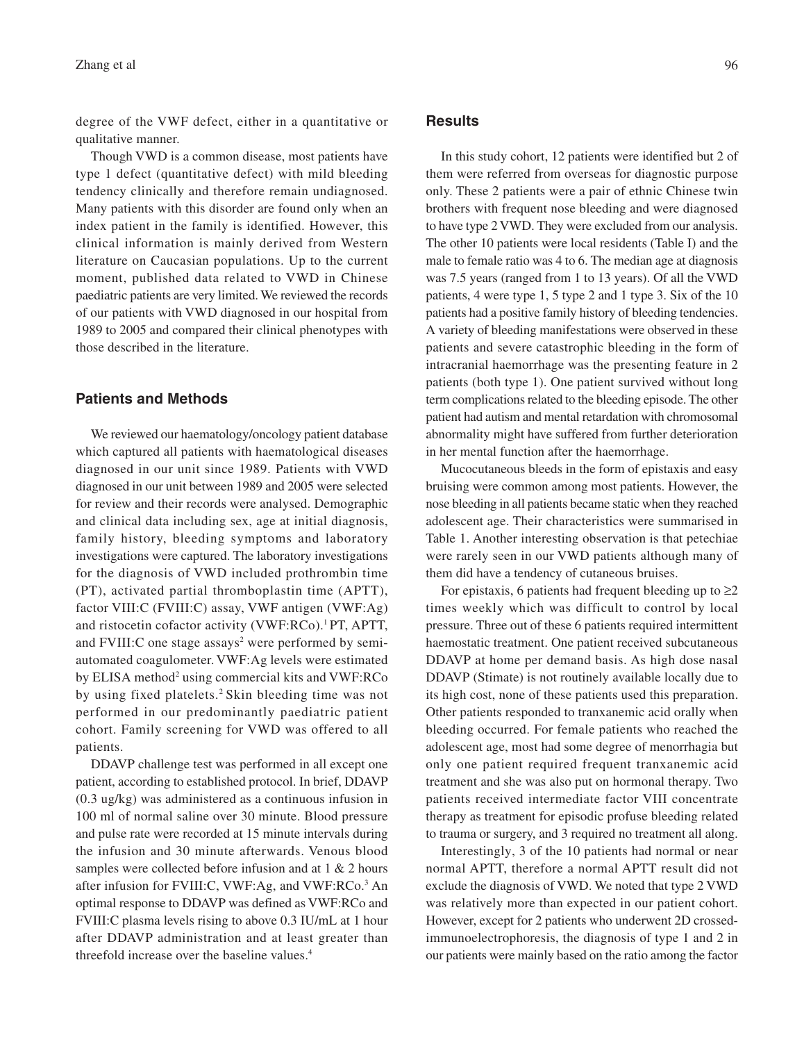degree of the VWF defect, either in a quantitative or qualitative manner.

Though VWD is a common disease, most patients have type 1 defect (quantitative defect) with mild bleeding tendency clinically and therefore remain undiagnosed. Many patients with this disorder are found only when an index patient in the family is identified. However, this clinical information is mainly derived from Western literature on Caucasian populations. Up to the current moment, published data related to VWD in Chinese paediatric patients are very limited. We reviewed the records of our patients with VWD diagnosed in our hospital from 1989 to 2005 and compared their clinical phenotypes with those described in the literature.

## **Patients and Methods**

We reviewed our haematology/oncology patient database which captured all patients with haematological diseases diagnosed in our unit since 1989. Patients with VWD diagnosed in our unit between 1989 and 2005 were selected for review and their records were analysed. Demographic and clinical data including sex, age at initial diagnosis, family history, bleeding symptoms and laboratory investigations were captured. The laboratory investigations for the diagnosis of VWD included prothrombin time (PT), activated partial thromboplastin time (APTT), factor VIII:C (FVIII:C) assay, VWF antigen (VWF:Ag) and ristocetin cofactor activity (VWF:RCo).1 PT, APTT, and FVIII:C one stage assays<sup>2</sup> were performed by semiautomated coagulometer. VWF:Ag levels were estimated by ELISA method<sup>2</sup> using commercial kits and VWF:RCo by using fixed platelets.<sup>2</sup> Skin bleeding time was not performed in our predominantly paediatric patient cohort. Family screening for VWD was offered to all patients.

DDAVP challenge test was performed in all except one patient, according to established protocol. In brief, DDAVP (0.3 ug/kg) was administered as a continuous infusion in 100 ml of normal saline over 30 minute. Blood pressure and pulse rate were recorded at 15 minute intervals during the infusion and 30 minute afterwards. Venous blood samples were collected before infusion and at 1 & 2 hours after infusion for FVIII:C, VWF:Ag, and VWF:RCo.3 An optimal response to DDAVP was defined as VWF:RCo and FVIII:C plasma levels rising to above 0.3 IU/mL at 1 hour after DDAVP administration and at least greater than threefold increase over the baseline values.4

#### **Results**

In this study cohort, 12 patients were identified but 2 of them were referred from overseas for diagnostic purpose only. These 2 patients were a pair of ethnic Chinese twin brothers with frequent nose bleeding and were diagnosed to have type 2 VWD. They were excluded from our analysis. The other 10 patients were local residents (Table I) and the male to female ratio was 4 to 6. The median age at diagnosis was 7.5 years (ranged from 1 to 13 years). Of all the VWD patients, 4 were type 1, 5 type 2 and 1 type 3. Six of the 10 patients had a positive family history of bleeding tendencies. A variety of bleeding manifestations were observed in these patients and severe catastrophic bleeding in the form of intracranial haemorrhage was the presenting feature in 2 patients (both type 1). One patient survived without long term complications related to the bleeding episode. The other patient had autism and mental retardation with chromosomal abnormality might have suffered from further deterioration in her mental function after the haemorrhage.

Mucocutaneous bleeds in the form of epistaxis and easy bruising were common among most patients. However, the nose bleeding in all patients became static when they reached adolescent age. Their characteristics were summarised in Table 1. Another interesting observation is that petechiae were rarely seen in our VWD patients although many of them did have a tendency of cutaneous bruises.

For epistaxis, 6 patients had frequent bleeding up to  $\geq 2$ times weekly which was difficult to control by local pressure. Three out of these 6 patients required intermittent haemostatic treatment. One patient received subcutaneous DDAVP at home per demand basis. As high dose nasal DDAVP (Stimate) is not routinely available locally due to its high cost, none of these patients used this preparation. Other patients responded to tranxanemic acid orally when bleeding occurred. For female patients who reached the adolescent age, most had some degree of menorrhagia but only one patient required frequent tranxanemic acid treatment and she was also put on hormonal therapy. Two patients received intermediate factor VIII concentrate therapy as treatment for episodic profuse bleeding related to trauma or surgery, and 3 required no treatment all along.

Interestingly, 3 of the 10 patients had normal or near normal APTT, therefore a normal APTT result did not exclude the diagnosis of VWD. We noted that type 2 VWD was relatively more than expected in our patient cohort. However, except for 2 patients who underwent 2D crossedimmunoelectrophoresis, the diagnosis of type 1 and 2 in our patients were mainly based on the ratio among the factor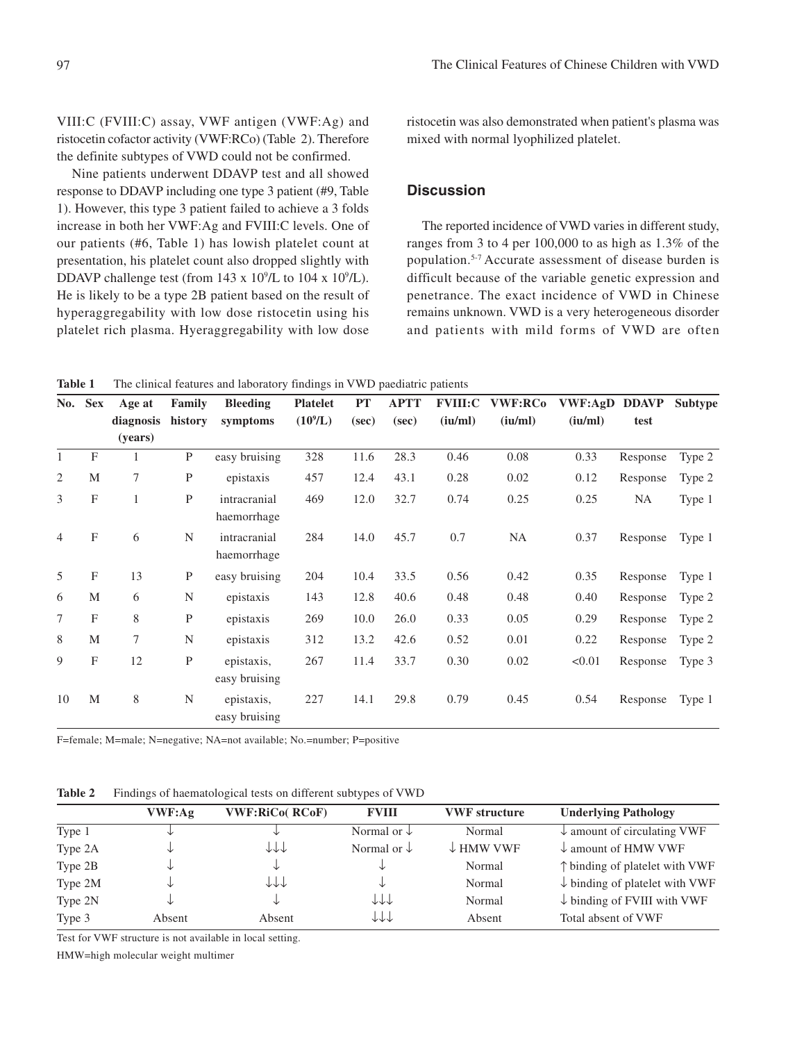VIII:C (FVIII:C) assay, VWF antigen (VWF:Ag) and ristocetin cofactor activity (VWF:RCo) (Table 2). Therefore the definite subtypes of VWD could not be confirmed.

Nine patients underwent DDAVP test and all showed response to DDAVP including one type 3 patient (#9, Table 1). However, this type 3 patient failed to achieve a 3 folds increase in both her VWF:Ag and FVIII:C levels. One of our patients (#6, Table 1) has lowish platelet count at presentation, his platelet count also dropped slightly with DDAVP challenge test (from  $143 \times 10^9$ /L to  $104 \times 10^9$ /L). He is likely to be a type 2B patient based on the result of hyperaggregability with low dose ristocetin using his platelet rich plasma. Hyeraggregability with low dose

ristocetin was also demonstrated when patient's plasma was mixed with normal lyophilized platelet.

### **Discussion**

The reported incidence of VWD varies in different study, ranges from 3 to 4 per 100,000 to as high as 1.3% of the population.5-7 Accurate assessment of disease burden is difficult because of the variable genetic expression and penetrance. The exact incidence of VWD in Chinese remains unknown. VWD is a very heterogeneous disorder and patients with mild forms of VWD are often

**Table 1** The clinical features and laboratory findings in VWD paediatric patients

| <b>Sex</b><br>No. | Age at                    | Family       | <b>Bleeding</b> | <b>Platelet</b>             | <b>PT</b>  | <b>APTT</b> | <b>FVIII:C</b> | <b>VWF:RCo</b> | VWF:AgD | <b>DDAVP</b> | Subtype  |        |
|-------------------|---------------------------|--------------|-----------------|-----------------------------|------------|-------------|----------------|----------------|---------|--------------|----------|--------|
|                   |                           | diagnosis    | history         | symptoms                    | $(10^9/L)$ | (sec)       | (sec)          | (iu/ml)        | (iu/ml) | (iu/ml)      | test     |        |
|                   |                           | (years)      |                 |                             |            |             |                |                |         |              |          |        |
| $\mathbf{1}$      | $\mathbf{F}$              | 1            | $\mathbf{P}$    | easy bruising               | 328        | 11.6        | 28.3           | 0.46           | 0.08    | 0.33         | Response | Type 2 |
| 2                 | M                         | 7            | P               | epistaxis                   | 457        | 12.4        | 43.1           | 0.28           | 0.02    | 0.12         | Response | Type 2 |
| 3                 | $\boldsymbol{\mathrm{F}}$ | $\mathbf{1}$ | $\mathbf{P}$    | intracranial<br>haemorrhage | 469        | 12.0        | 32.7           | 0.74           | 0.25    | 0.25         | NA       | Type 1 |
| $\overline{4}$    | $\boldsymbol{\mathrm{F}}$ | 6            | N               | intracranial<br>haemorrhage | 284        | 14.0        | 45.7           | 0.7            | NA      | 0.37         | Response | Type 1 |
| 5                 | $\boldsymbol{\mathrm{F}}$ | 13           | $\mathbf{P}$    | easy bruising               | 204        | 10.4        | 33.5           | 0.56           | 0.42    | 0.35         | Response | Type 1 |
| 6                 | M                         | 6            | N               | epistaxis                   | 143        | 12.8        | 40.6           | 0.48           | 0.48    | 0.40         | Response | Type 2 |
| $\tau$            | $\boldsymbol{\mathrm{F}}$ | 8            | $\mathbf P$     | epistaxis                   | 269        | 10.0        | 26.0           | 0.33           | 0.05    | 0.29         | Response | Type 2 |
| 8                 | M                         | 7            | N               | epistaxis                   | 312        | 13.2        | 42.6           | 0.52           | 0.01    | 0.22         | Response | Type 2 |
| 9                 | $\boldsymbol{\mathrm{F}}$ | 12           | ${\bf P}$       | epistaxis,<br>easy bruising | 267        | 11.4        | 33.7           | 0.30           | 0.02    | < 0.01       | Response | Type 3 |
| 10                | M                         | 8            | N               | epistaxis,<br>easy bruising | 227        | 14.1        | 29.8           | 0.79           | 0.45    | 0.54         | Response | Type 1 |

F=female; M=male; N=negative; NA=not available; No.=number; P=positive

**Table 2** Findings of haematological tests on different subtypes of VWD

|         | VWF:Ag | <b>VWF:RiCo( RCoF)</b> | <b>FVIII</b>           | <b>VWF</b> structure | <b>Underlying Pathology</b>               |
|---------|--------|------------------------|------------------------|----------------------|-------------------------------------------|
| Type 1  | ◡      | ◡                      | Normal or $\downarrow$ | Normal               | $\downarrow$ amount of circulating VWF    |
| Type 2A | ◡      | 111                    | Normal or $\downarrow$ | $\downarrow$ HMW VWF | $\downarrow$ amount of HMW VWF            |
| Type 2B | ◡      | ◡                      | ◡                      | Normal               | $\uparrow$ binding of platelet with VWF   |
| Type 2M | ◡      | 111                    | ◡                      | Normal               | $\downarrow$ binding of platelet with VWF |
| Type 2N | ◡      | ◡                      | 111                    | Normal               | $\downarrow$ binding of FVIII with VWF    |
| Type 3  | Absent | Absent                 | 111                    | Absent               | Total absent of VWF                       |

Test for VWF structure is not available in local setting.

HMW=high molecular weight multimer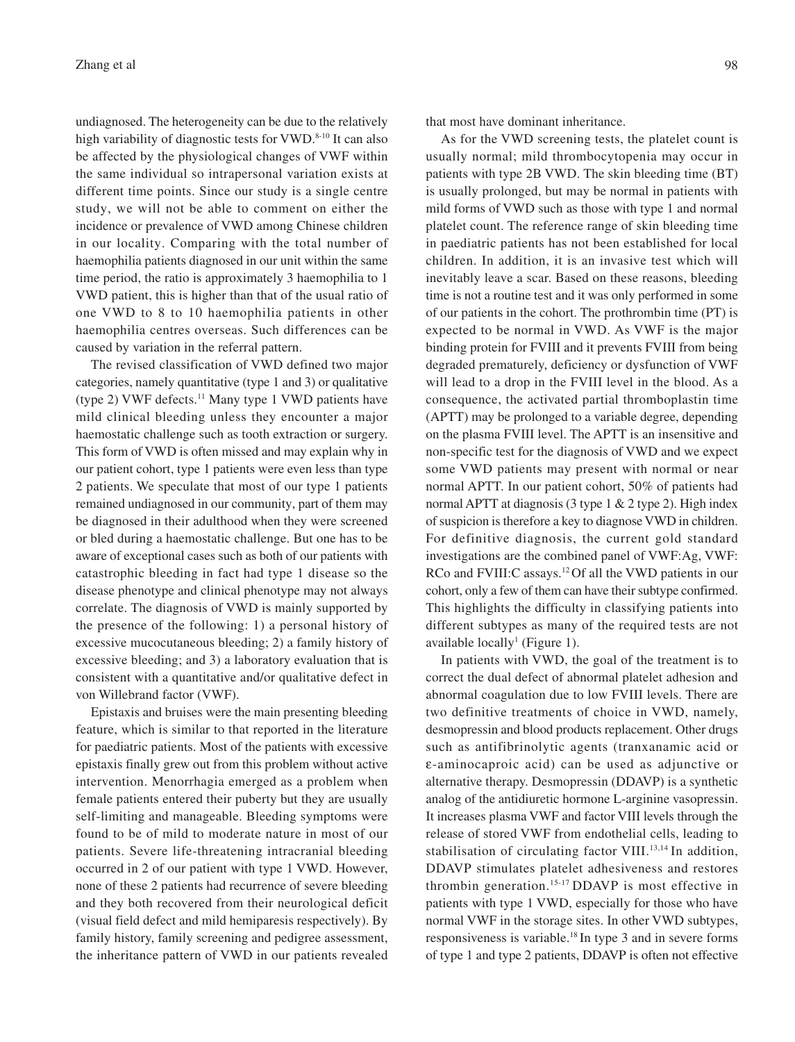undiagnosed. The heterogeneity can be due to the relatively high variability of diagnostic tests for VWD.8-10 It can also be affected by the physiological changes of VWF within the same individual so intrapersonal variation exists at different time points. Since our study is a single centre study, we will not be able to comment on either the incidence or prevalence of VWD among Chinese children in our locality. Comparing with the total number of haemophilia patients diagnosed in our unit within the same time period, the ratio is approximately 3 haemophilia to 1 VWD patient, this is higher than that of the usual ratio of one VWD to 8 to 10 haemophilia patients in other haemophilia centres overseas. Such differences can be caused by variation in the referral pattern.

The revised classification of VWD defined two major categories, namely quantitative (type 1 and 3) or qualitative (type 2) VWF defects.<sup>11</sup> Many type 1 VWD patients have mild clinical bleeding unless they encounter a major haemostatic challenge such as tooth extraction or surgery. This form of VWD is often missed and may explain why in our patient cohort, type 1 patients were even less than type 2 patients. We speculate that most of our type 1 patients remained undiagnosed in our community, part of them may be diagnosed in their adulthood when they were screened or bled during a haemostatic challenge. But one has to be aware of exceptional cases such as both of our patients with catastrophic bleeding in fact had type 1 disease so the disease phenotype and clinical phenotype may not always correlate. The diagnosis of VWD is mainly supported by the presence of the following: 1) a personal history of excessive mucocutaneous bleeding; 2) a family history of excessive bleeding; and 3) a laboratory evaluation that is consistent with a quantitative and/or qualitative defect in von Willebrand factor (VWF).

Epistaxis and bruises were the main presenting bleeding feature, which is similar to that reported in the literature for paediatric patients. Most of the patients with excessive epistaxis finally grew out from this problem without active intervention. Menorrhagia emerged as a problem when female patients entered their puberty but they are usually self-limiting and manageable. Bleeding symptoms were found to be of mild to moderate nature in most of our patients. Severe life-threatening intracranial bleeding occurred in 2 of our patient with type 1 VWD. However, none of these 2 patients had recurrence of severe bleeding and they both recovered from their neurological deficit (visual field defect and mild hemiparesis respectively). By family history, family screening and pedigree assessment, the inheritance pattern of VWD in our patients revealed that most have dominant inheritance.

As for the VWD screening tests, the platelet count is usually normal; mild thrombocytopenia may occur in patients with type 2B VWD. The skin bleeding time (BT) is usually prolonged, but may be normal in patients with mild forms of VWD such as those with type 1 and normal platelet count. The reference range of skin bleeding time in paediatric patients has not been established for local children. In addition, it is an invasive test which will inevitably leave a scar. Based on these reasons, bleeding time is not a routine test and it was only performed in some of our patients in the cohort. The prothrombin time (PT) is expected to be normal in VWD. As VWF is the major binding protein for FVIII and it prevents FVIII from being degraded prematurely, deficiency or dysfunction of VWF will lead to a drop in the FVIII level in the blood. As a consequence, the activated partial thromboplastin time (APTT) may be prolonged to a variable degree, depending on the plasma FVIII level. The APTT is an insensitive and non-specific test for the diagnosis of VWD and we expect some VWD patients may present with normal or near normal APTT. In our patient cohort, 50% of patients had normal APTT at diagnosis (3 type 1 & 2 type 2). High index of suspicion is therefore a key to diagnose VWD in children. For definitive diagnosis, the current gold standard investigations are the combined panel of VWF:Ag, VWF: RCo and FVIII:C assays.<sup>12</sup>Of all the VWD patients in our cohort, only a few of them can have their subtype confirmed. This highlights the difficulty in classifying patients into different subtypes as many of the required tests are not available locally<sup>1</sup> (Figure 1).

In patients with VWD, the goal of the treatment is to correct the dual defect of abnormal platelet adhesion and abnormal coagulation due to low FVIII levels. There are two definitive treatments of choice in VWD, namely, desmopressin and blood products replacement. Other drugs such as antifibrinolytic agents (tranxanamic acid or ε-aminocaproic acid) can be used as adjunctive or alternative therapy. Desmopressin (DDAVP) is a synthetic analog of the antidiuretic hormone L-arginine vasopressin. It increases plasma VWF and factor VIII levels through the release of stored VWF from endothelial cells, leading to stabilisation of circulating factor VIII.<sup>13,14</sup> In addition, DDAVP stimulates platelet adhesiveness and restores thrombin generation.15-17 DDAVP is most effective in patients with type 1 VWD, especially for those who have normal VWF in the storage sites. In other VWD subtypes, responsiveness is variable.18 In type 3 and in severe forms of type 1 and type 2 patients, DDAVP is often not effective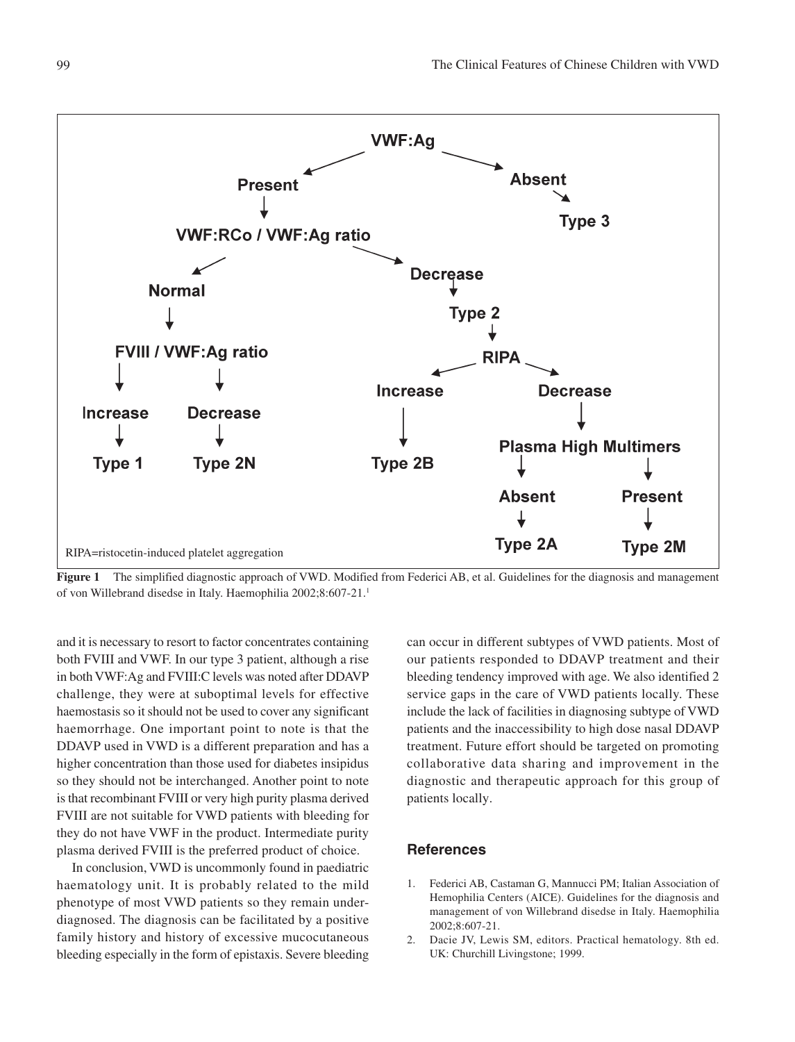

Figure 1 The simplified diagnostic approach of VWD. Modified from Federici AB, et al. Guidelines for the diagnosis and management of von Willebrand disedse in Italy. Haemophilia 2002;8:607-21.1

and it is necessary to resort to factor concentrates containing both FVIII and VWF. In our type 3 patient, although a rise in both VWF:Ag and FVIII:C levels was noted after DDAVP challenge, they were at suboptimal levels for effective haemostasis so it should not be used to cover any significant haemorrhage. One important point to note is that the DDAVP used in VWD is a different preparation and has a higher concentration than those used for diabetes insipidus so they should not be interchanged. Another point to note is that recombinant FVIII or very high purity plasma derived FVIII are not suitable for VWD patients with bleeding for they do not have VWF in the product. Intermediate purity plasma derived FVIII is the preferred product of choice.

In conclusion, VWD is uncommonly found in paediatric haematology unit. It is probably related to the mild phenotype of most VWD patients so they remain underdiagnosed. The diagnosis can be facilitated by a positive family history and history of excessive mucocutaneous bleeding especially in the form of epistaxis. Severe bleeding

can occur in different subtypes of VWD patients. Most of our patients responded to DDAVP treatment and their bleeding tendency improved with age. We also identified 2 service gaps in the care of VWD patients locally. These include the lack of facilities in diagnosing subtype of VWD patients and the inaccessibility to high dose nasal DDAVP treatment. Future effort should be targeted on promoting collaborative data sharing and improvement in the diagnostic and therapeutic approach for this group of patients locally.

#### **References**

- 1. Federici AB, Castaman G, Mannucci PM; Italian Association of Hemophilia Centers (AICE). Guidelines for the diagnosis and management of von Willebrand disedse in Italy. Haemophilia 2002;8:607-21.
- 2. Dacie JV, Lewis SM, editors. Practical hematology. 8th ed. UK: Churchill Livingstone; 1999.